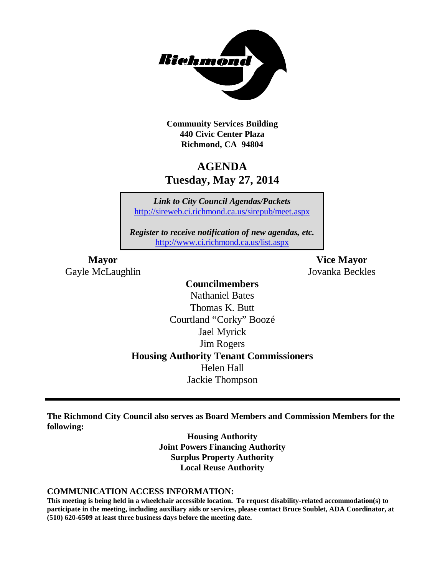

**Community Services Building 440 Civic Center Plaza Richmond, CA 94804**

## **AGENDA Tuesday, May 27, 2014**

*Link to City Council Agendas/Packets* <http://sireweb.ci.richmond.ca.us/sirepub/meet.aspx>

*Register to receive notification of new agendas, etc.* <http://www.ci.richmond.ca.us/list.aspx>

Gayle McLaughlin Jovanka Beckles

**Mayor Vice Mayor**

### **Councilmembers** Nathaniel Bates Thomas K. Butt Courtland "Corky" Boozé Jael Myrick Jim Rogers **Housing Authority Tenant Commissioners** Helen Hall Jackie Thompson

**The Richmond City Council also serves as Board Members and Commission Members for the following:**

> **Housing Authority Joint Powers Financing Authority Surplus Property Authority Local Reuse Authority**

#### **COMMUNICATION ACCESS INFORMATION:**

**This meeting is being held in a wheelchair accessible location. To request disability-related accommodation(s) to participate in the meeting, including auxiliary aids or services, please contact Bruce Soublet, ADA Coordinator, at (510) 620-6509 at least three business days before the meeting date.**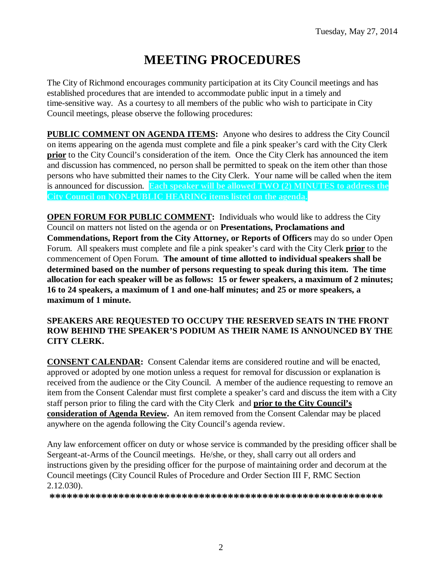# **MEETING PROCEDURES**

The City of Richmond encourages community participation at its City Council meetings and has established procedures that are intended to accommodate public input in a timely and time-sensitive way. As a courtesy to all members of the public who wish to participate in City Council meetings, please observe the following procedures:

**PUBLIC COMMENT ON AGENDA ITEMS:** Anyone who desires to address the City Council on items appearing on the agenda must complete and file a pink speaker's card with the City Clerk **prior** to the City Council's consideration of the item. Once the City Clerk has announced the item and discussion has commenced, no person shall be permitted to speak on the item other than those persons who have submitted their names to the City Clerk. Your name will be called when the item is announced for discussion. **Each speaker will be allowed TWO (2) MINUTES to address the City Council on NON-PUBLIC HEARING items listed on the agenda.**

**OPEN FORUM FOR PUBLIC COMMENT:** Individuals who would like to address the City Council on matters not listed on the agenda or on **Presentations, Proclamations and Commendations, Report from the City Attorney, or Reports of Officers** may do so under Open Forum. All speakers must complete and file a pink speaker's card with the City Clerk **prior** to the commencement of Open Forum. **The amount of time allotted to individual speakers shall be determined based on the number of persons requesting to speak during this item. The time allocation for each speaker will be as follows: 15 or fewer speakers, a maximum of 2 minutes; 16 to 24 speakers, a maximum of 1 and one-half minutes; and 25 or more speakers, a maximum of 1 minute.**

### **SPEAKERS ARE REQUESTED TO OCCUPY THE RESERVED SEATS IN THE FRONT ROW BEHIND THE SPEAKER'S PODIUM AS THEIR NAME IS ANNOUNCED BY THE CITY CLERK.**

**CONSENT CALENDAR:** Consent Calendar items are considered routine and will be enacted, approved or adopted by one motion unless a request for removal for discussion or explanation is received from the audience or the City Council. A member of the audience requesting to remove an item from the Consent Calendar must first complete a speaker's card and discuss the item with a City staff person prior to filing the card with the City Clerk and **prior to the City Council's consideration of Agenda Review.** An item removed from the Consent Calendar may be placed anywhere on the agenda following the City Council's agenda review.

Any law enforcement officer on duty or whose service is commanded by the presiding officer shall be Sergeant-at-Arms of the Council meetings. He/she, or they, shall carry out all orders and instructions given by the presiding officer for the purpose of maintaining order and decorum at the Council meetings (City Council Rules of Procedure and Order Section III F, RMC Section 2.12.030).

**\*\*\*\*\*\*\*\*\*\*\*\*\*\*\*\*\*\*\*\*\*\*\*\*\*\*\*\*\*\*\*\*\*\*\*\*\*\*\*\*\*\*\*\*\*\*\*\*\*\*\*\*\*\*\*\*\*\***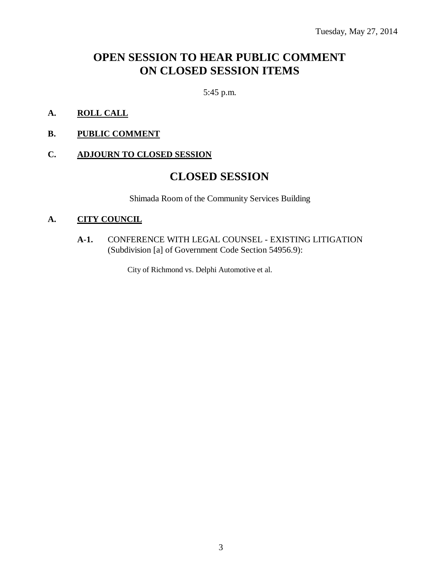## **OPEN SESSION TO HEAR PUBLIC COMMENT ON CLOSED SESSION ITEMS**

5:45 p.m.

- **A. ROLL CALL**
- **B. PUBLIC COMMENT**

### **C. ADJOURN TO CLOSED SESSION**

### **CLOSED SESSION**

Shimada Room of the Community Services Building

### **A. CITY COUNCIL**

**A-1.** CONFERENCE WITH LEGAL COUNSEL - EXISTING LITIGATION (Subdivision [a] of Government Code Section 54956.9):

City of Richmond vs. Delphi Automotive et al.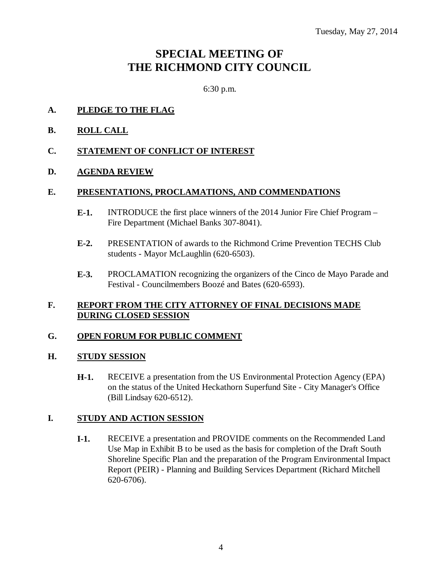# **SPECIAL MEETING OF THE RICHMOND CITY COUNCIL**

6:30 p.m.

- **A. PLEDGE TO THE FLAG**
- **B. ROLL CALL**

### **C. STATEMENT OF CONFLICT OF INTEREST**

### **D. AGENDA REVIEW**

### **E. PRESENTATIONS, PROCLAMATIONS, AND COMMENDATIONS**

- **E-1.** INTRODUCE the first place winners of the 2014 Junior Fire Chief Program Fire Department (Michael Banks 307-8041).
- **E-2.** PRESENTATION of awards to the Richmond Crime Prevention TECHS Club students - Mayor McLaughlin (620-6503).
- **E-3.** PROCLAMATION recognizing the organizers of the Cinco de Mayo Parade and Festival - Councilmembers Boozé and Bates (620-6593).

### **F. REPORT FROM THE CITY ATTORNEY OF FINAL DECISIONS MADE DURING CLOSED SESSION**

### **G. OPEN FORUM FOR PUBLIC COMMENT**

### **H. STUDY SESSION**

**H-1.** RECEIVE a presentation from the US Environmental Protection Agency (EPA) on the status of the United Heckathorn Superfund Site - City Manager's Office (Bill Lindsay 620-6512).

### **I. STUDY AND ACTION SESSION**

**I-1.** RECEIVE a presentation and PROVIDE comments on the Recommended Land Use Map in Exhibit B to be used as the basis for completion of the Draft South Shoreline Specific Plan and the preparation of the Program Environmental Impact Report (PEIR) - Planning and Building Services Department (Richard Mitchell 620-6706).